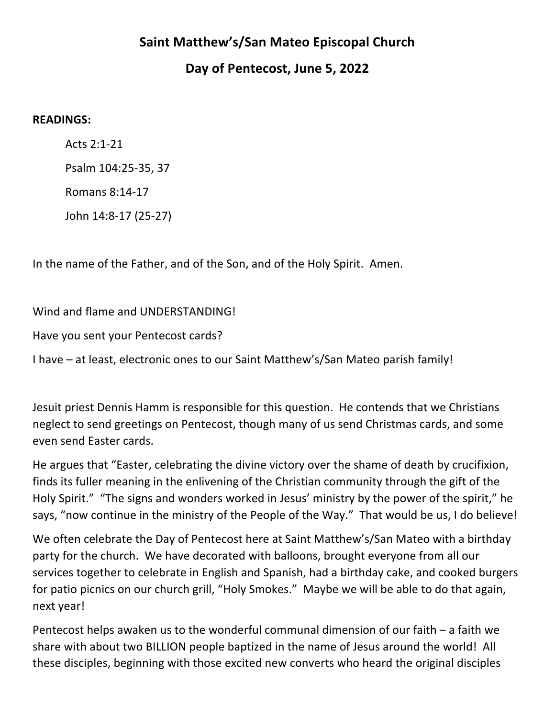## **Saint Matthew's/San Mateo Episcopal Church**

## **Day of Pentecost, June 5, 2022**

## **READINGS:**

Acts 2:1-21 Psalm 104:25-35, 37 Romans 8:14-17 John 14:8-17 (25-27)

In the name of the Father, and of the Son, and of the Holy Spirit. Amen.

Wind and flame and UNDERSTANDING!

Have you sent your Pentecost cards?

I have – at least, electronic ones to our Saint Matthew's/San Mateo parish family!

Jesuit priest Dennis Hamm is responsible for this question. He contends that we Christians neglect to send greetings on Pentecost, though many of us send Christmas cards, and some even send Faster cards.

He argues that "Easter, celebrating the divine victory over the shame of death by crucifixion, finds its fuller meaning in the enlivening of the Christian community through the gift of the Holy Spirit." "The signs and wonders worked in Jesus' ministry by the power of the spirit," he says, "now continue in the ministry of the People of the Way." That would be us, I do believe!

We often celebrate the Day of Pentecost here at Saint Matthew's/San Mateo with a birthday party for the church. We have decorated with balloons, brought everyone from all our services together to celebrate in English and Spanish, had a birthday cake, and cooked burgers for patio picnics on our church grill, "Holy Smokes." Maybe we will be able to do that again, next year!

Pentecost helps awaken us to the wonderful communal dimension of our faith  $-$  a faith we share with about two BILLION people baptized in the name of Jesus around the world! All these disciples, beginning with those excited new converts who heard the original disciples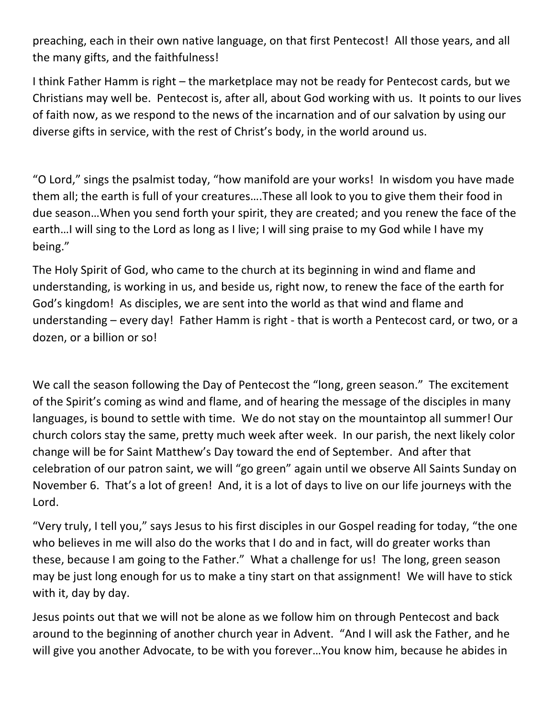preaching, each in their own native language, on that first Pentecost! All those years, and all the many gifts, and the faithfulness!

I think Father Hamm is right – the marketplace may not be ready for Pentecost cards, but we Christians may well be. Pentecost is, after all, about God working with us. It points to our lives of faith now, as we respond to the news of the incarnation and of our salvation by using our diverse gifts in service, with the rest of Christ's body, in the world around us.

"O Lord," sings the psalmist today, "how manifold are your works! In wisdom you have made them all; the earth is full of your creatures....These all look to you to give them their food in due season...When you send forth your spirit, they are created; and you renew the face of the earth...I will sing to the Lord as long as I live; I will sing praise to my God while I have my being."

The Holy Spirit of God, who came to the church at its beginning in wind and flame and understanding, is working in us, and beside us, right now, to renew the face of the earth for God's kingdom! As disciples, we are sent into the world as that wind and flame and understanding  $-$  every day! Father Hamm is right - that is worth a Pentecost card, or two, or a dozen, or a billion or so!

We call the season following the Day of Pentecost the "long, green season." The excitement of the Spirit's coming as wind and flame, and of hearing the message of the disciples in many languages, is bound to settle with time. We do not stay on the mountaintop all summer! Our church colors stay the same, pretty much week after week. In our parish, the next likely color change will be for Saint Matthew's Day toward the end of September. And after that celebration of our patron saint, we will "go green" again until we observe All Saints Sunday on November 6. That's a lot of green! And, it is a lot of days to live on our life journeys with the Lord.

"Very truly, I tell you," says Jesus to his first disciples in our Gospel reading for today, "the one who believes in me will also do the works that I do and in fact, will do greater works than these, because I am going to the Father." What a challenge for us! The long, green season may be just long enough for us to make a tiny start on that assignment! We will have to stick with it, day by day.

Jesus points out that we will not be alone as we follow him on through Pentecost and back around to the beginning of another church year in Advent. "And I will ask the Father, and he will give you another Advocate, to be with you forever...You know him, because he abides in